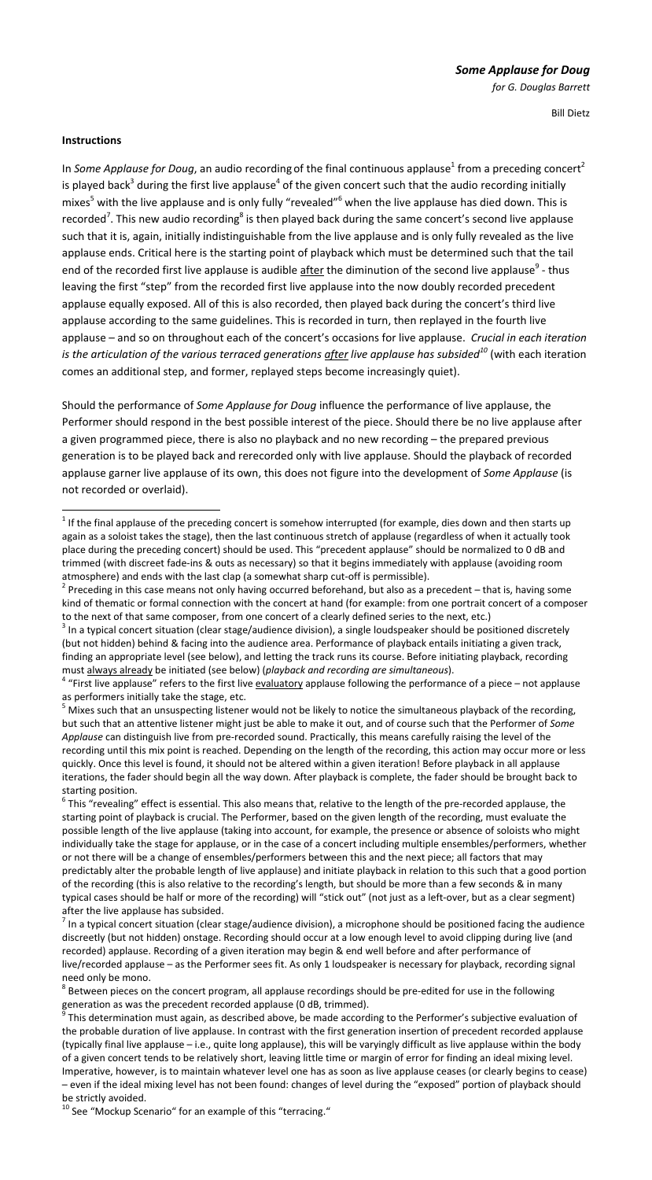Bill Dietz

## **Instructions**

In *Some Applause for Doug*, an audio recording of the final continuous applause<sup>1</sup> from a preceding concert<sup>2</sup> is played back<sup>3</sup> during the first live applause<sup>4</sup> of the given concert such that the audio recording initially mixes<sup>5</sup> with the live applause and is only fully "revealed"<sup>6</sup> when the live applause has died down. This is recorded<sup>7</sup>. This new audio recording<sup>8</sup> is then played back during the same concert's second live applause such that it is, again, initially indistinguishable from the live applause and is only fully revealed as the live applause ends. Critical here is the starting point of playback which must be determined such that the tail end of the recorded first live applause is audible <u>after</u> the diminution of the second live applause<sup>9</sup> - thus leaving the first "step" from the recorded first live applause into the now doubly recorded precedent applause equally exposed. All of this is also recorded, then played back during the concert's third live applause according to the same guidelines. This is recorded in turn, then replayed in the fourth live applause – and so on throughout each of the concert's occasions for live applause. *Crucial in each iteration is the articulation of the various terraced generations after live applause has subsided<sup>10</sup>* (with each iteration comes an additional step, and former, replayed steps become increasingly quiet).

Should the performance of *Some Applause for Doug* influence the performance of live applause, the Performer should respond in the best possible interest of the piece. Should there be no live applause after a given programmed piece, there is also no playback and no new recording – the prepared previous generation is to be played back and rerecorded only with live applause. Should the playback of recorded applause garner live applause of its own, this does not figure into the development of *Some Applause* (is not recorded or overlaid).

to the next of that same composer, from one concert of a clearly defined series to the next, etc.)<br><sup>3</sup> In a typical concert situation (clear stage/audience division), a single loudspeaker should be positioned discretely (but not hidden) behind & facing into the audience area. Performance of playback entails initiating a given track, finding an appropriate level (see below), and letting the track runs its course. Before initiating playback, recording

must always already be initiated (see below) (*playback and recording are simultaneous*).<br><sup>4</sup> "First live applause" refers to the first live evaluatory applause following the performance of a piece – not applause

as performers initially take the stage, etc.<br><sup>5</sup> Mixes such that an unsuspecting listener would not be likely to notice the simultaneous playback of the recording, but such that an attentive listener might just be able to make it out, and of course such that the Performer of *Some Applause* can distinguish live from pre‐recorded sound. Practically, this means carefully raising the level of the recording until this mix point is reached. Depending on the length of the recording, this action may occur more or less quickly. Once this level is found, it should not be altered within a given iteration! Before playback in all applause iterations, the fader should begin all the way down*.* After playback is complete, the fader should be brought back to

starting position.<br><sup>6</sup> This "revealing" effect is essential. This also means that, relative to the length of the pre-recorded applause, the starting point of playback is crucial. The Performer, based on the given length of the recording, must evaluate the possible length of the live applause (taking into account, for example, the presence or absence of soloists who might individually take the stage for applause, or in the case of a concert including multiple ensembles/performers, whether or not there will be a change of ensembles/performers between this and the next piece; all factors that may predictably alter the probable length of live applause) and initiate playback in relation to this such that a good portion of the recording (this is also relative to the recording's length, but should be more than a few seconds & in many typical cases should be half or more of the recording) will "stick out" (not just as a left-over, but as a clear segment) after the live applause has subsided.<br><sup>7</sup> In a typical concert situation (clear stage/audience division), a microphone should be positioned facing the audience

discreetly (but not hidden) onstage. Recording should occur at a low enough level to avoid clipping during live (and recorded) applause. Recording of a given iteration may begin & end well before and after performance of live/recorded applause – as the Performer sees fit. As only 1 loudspeaker is necessary for playback, recording signal

need only be mono.<br><sup>8</sup> Between pieces on the concert program, all applause recordings should be pre-edited for use in the following<br>generation as was the precedent recorded applause (0 dB, trimmed).

This determination must again, as described above, be made according to the Performer's subjective evaluation of the probable duration of live applause. In contrast with the first generation insertion of precedent recorded applause (typically final live applause – i.e., quite long applause), this will be varyingly difficult as live applause within the body of a given concert tends to be relatively short, leaving little time or margin of error for finding an ideal mixing level. Imperative, however, is to maintain whatever level one has as soon as live applause ceases (or clearly begins to cease) – even if the ideal mixing level has not been found: changes of level during the "exposed" portion of playback should

be strictly avoided.<br><sup>10</sup> See "Mockup Scenario" for an example of this "terracing."

  $<sup>1</sup>$  If the final applause of the preceding concert is somehow interrupted (for example, dies down and then starts up</sup> again as a soloist takes the stage), then the last continuous stretch of applause (regardless of when it actually took place during the preceding concert) should be used. This "precedent applause" should be normalized to 0 dB and trimmed (with discreet fade‐ins & outs as necessary) so that it begins immediately with applause (avoiding room atmosphere) and ends with the last clap (a somewhat sharp cut-off is permissible).<br>
<sup>2</sup> Preceding in this case means not only having occurred beforehand, but also as a precedent – that is, having some

kind of thematic or formal connection with the concert at hand (for example: from one portrait concert of a composer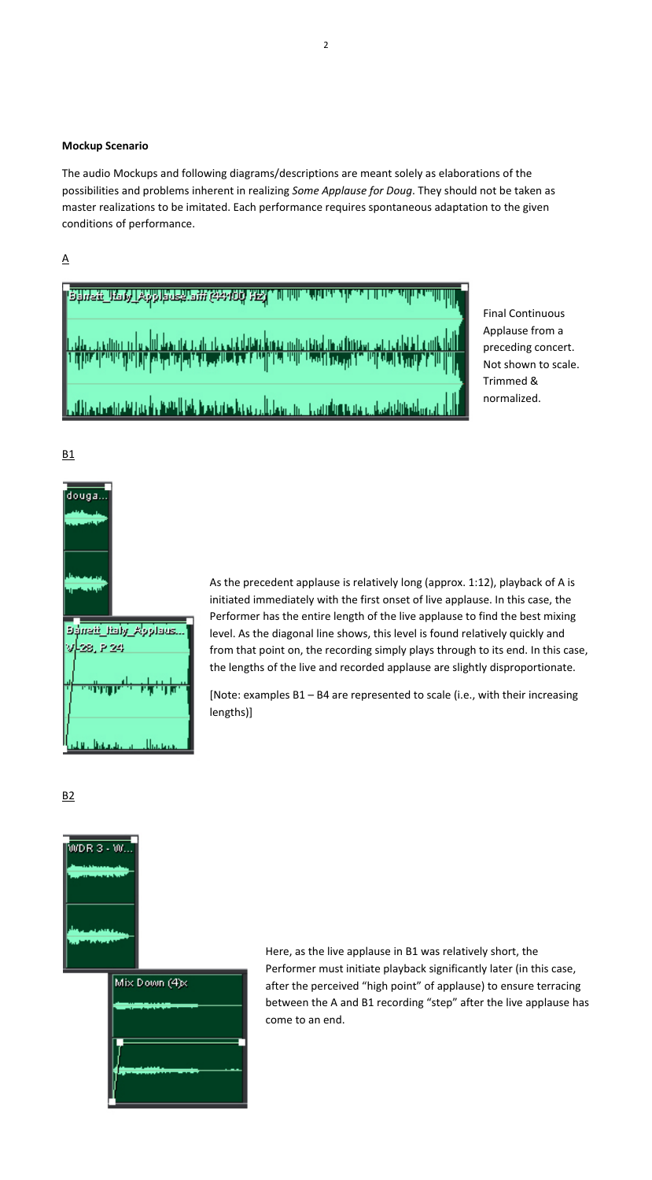## **Mockup Scenario**

The audio Mockups and following diagrams/descriptions are meant solely as elaborations of the possibilities and problems inherent in realizing *Some Applause for Doug*. They should not be taken as master realizations to be imitated. Each performance requires spontaneous adaptation to the given conditions of performance.





Final Continuous Applause from a preceding concert. Not shown to scale. Trimmed & normalized.

B1



As the precedent applause is relatively long (approx. 1:12), playback of A is initiated immediately with the first onset of live applause. In this case, the Performer has the entire length of the live applause to find the best mixing level. As the diagonal line shows, this level is found relatively quickly and from that point on, the recording simply plays through to its end. In this case, the lengths of the live and recorded applause are slightly disproportionate.

[Note: examples B1 – B4 are represented to scale (i.e., with their increasing lengths)]

B2



| Mix Down (4)x |
|---------------|
|               |
|               |
|               |
|               |
|               |

Here, as the live applause in B1 was relatively short, the Performer must initiate playback significantly later (in this case, after the perceived "high point" of applause) to ensure terracing between the A and B1 recording "step" after the live applause has come to an end.